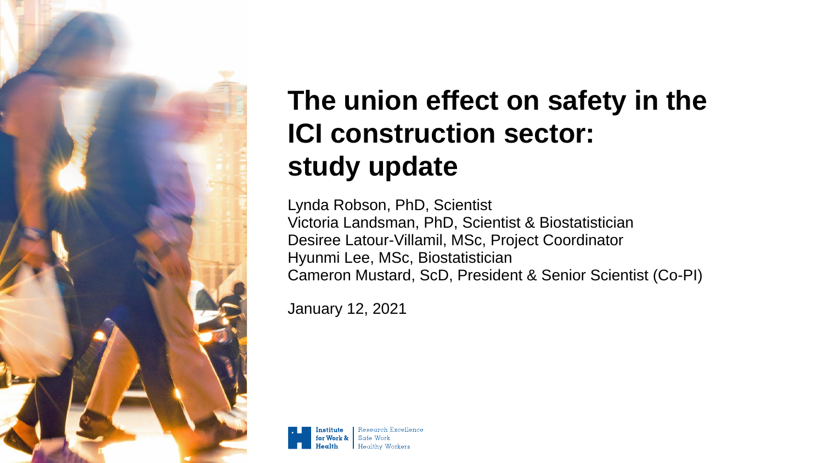

## **The union effect on safety in the ICI construction sector: study update**

Lynda Robson, PhD, Scientist Victoria Landsman, PhD, Scientist & Biostatistician Desiree Latour-Villamil, MSc, Project Coordinator Hyunmi Lee, MSc, Biostatistician Cameron Mustard, ScD, President & Senior Scientist (Co-PI)

January 12, 2021

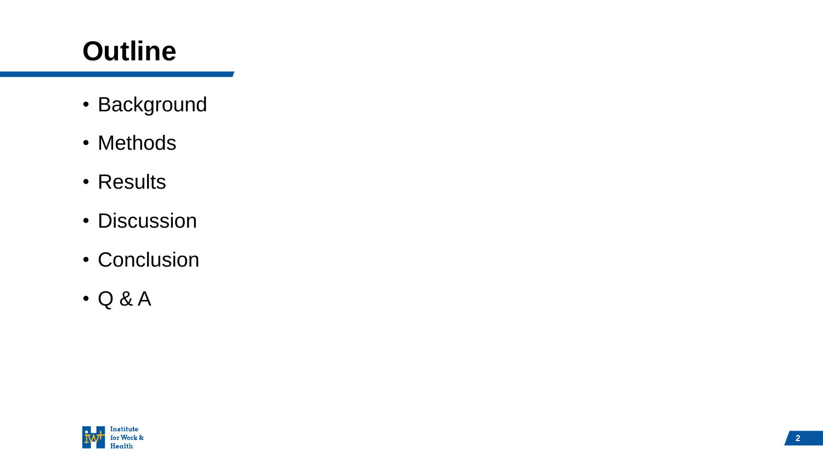# **Outline**

- Background
- Methods
- Results
- Discussion
- Conclusion
- Q & A

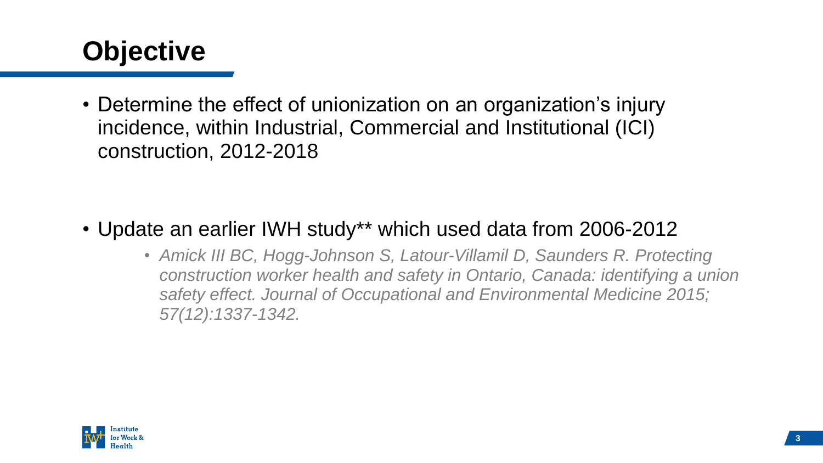

• Determine the effect of unionization on an organization's injury incidence, within Industrial, Commercial and Institutional (ICI) construction, 2012-2018

- Update an earlier IWH study\*\* which used data from 2006-2012
	- *Amick III BC, Hogg-Johnson S, Latour-Villamil D, Saunders R. Protecting construction worker health and safety in Ontario, Canada: identifying a union safety effect. Journal of Occupational and Environmental Medicine 2015; 57(12):1337-1342.*

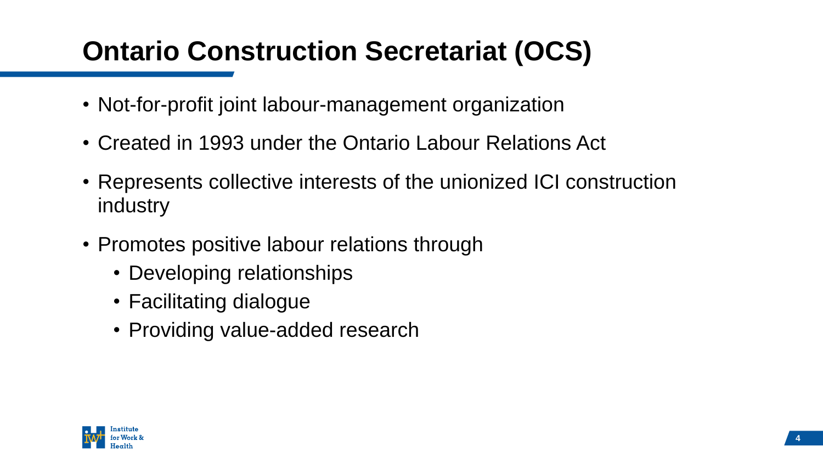### **Ontario Construction Secretariat (OCS)**

- Not-for-profit joint labour-management organization
- Created in 1993 under the Ontario Labour Relations Act
- Represents collective interests of the unionized ICI construction industry
- Promotes positive labour relations through
	- Developing relationships
	- Facilitating dialogue
	- Providing value-added research

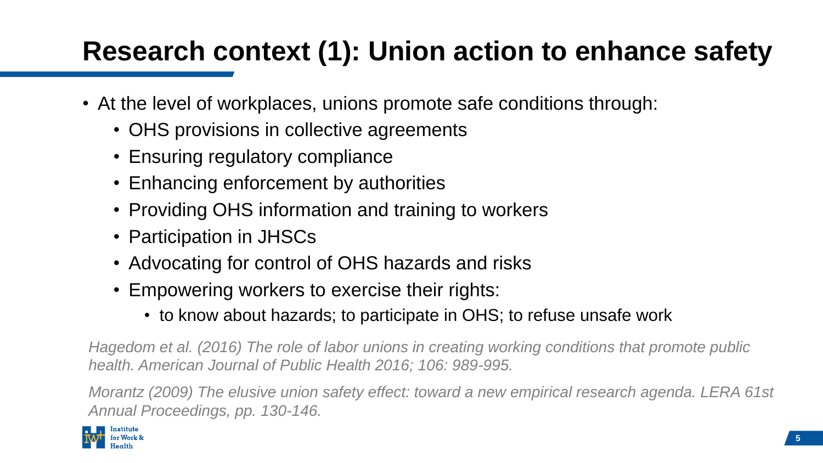## **Research context (1): Union action to enhance safety**

- At the level of workplaces, unions promote safe conditions through:
	- OHS provisions in collective agreements
	- Ensuring regulatory compliance
	- Enhancing enforcement by authorities
	- Providing OHS information and training to workers
	- Participation in JHSCs
	- Advocating for control of OHS hazards and risks
	- Empowering workers to exercise their rights:
		- to know about hazards; to participate in OHS; to refuse unsafe work

*Hagedom et al. (2016) The role of labor unions in creating working conditions that promote public health. American Journal of Public Health 2016; 106: 989-995.* 

*Morantz (2009) The elusive union safety effect: toward a new empirical research agenda. LERA 61st Annual Proceedings, pp. 130-146.*

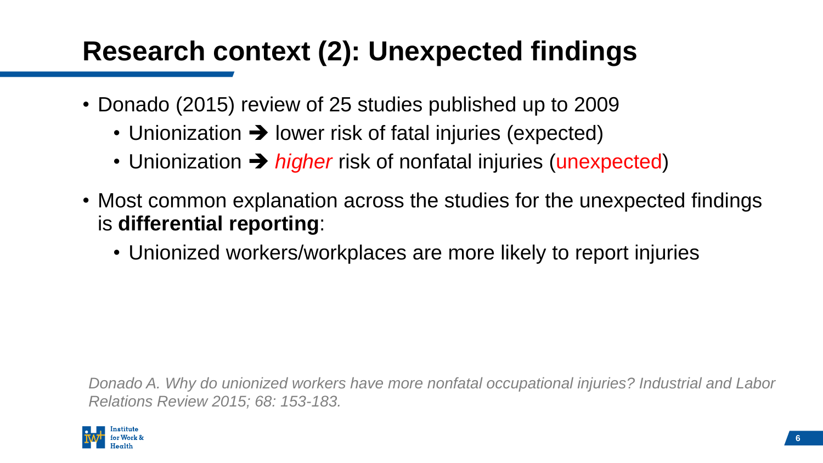### **Research context (2): Unexpected findings**

- Donado (2015) review of 25 studies published up to 2009
	- Unionization  $\rightarrow$  lower risk of fatal injuries (expected)
	- Unionization ➔ *higher* risk of nonfatal injuries (unexpected)
- Most common explanation across the studies for the unexpected findings is **differential reporting**:
	- Unionized workers/workplaces are more likely to report injuries

*Donado A. Why do unionized workers have more nonfatal occupational injuries? Industrial and Labor Relations Review 2015; 68: 153-183.*

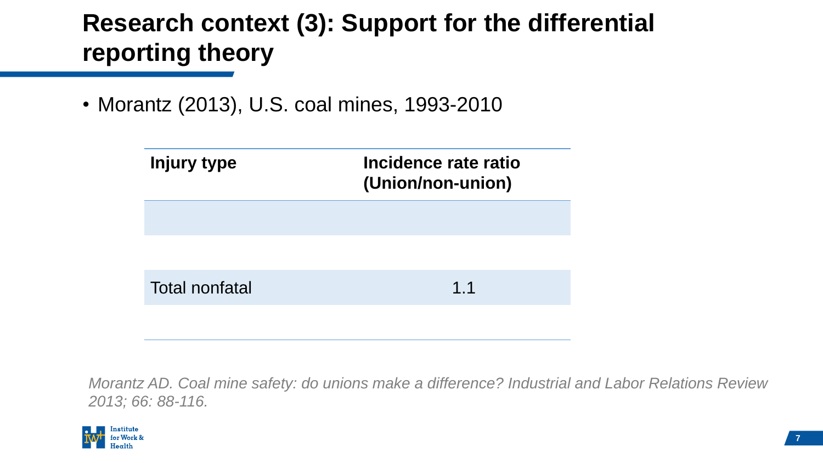### **Research context (3): Support for the differential reporting theory**

• Morantz (2013), U.S. coal mines, 1993-2010

| <b>Injury type</b>    | Incidence rate ratio<br>(Union/non-union) |  |  |
|-----------------------|-------------------------------------------|--|--|
|                       |                                           |  |  |
|                       |                                           |  |  |
| <b>Total nonfatal</b> | 1.1                                       |  |  |
|                       |                                           |  |  |

*Morantz AD. Coal mine safety: do unions make a difference? Industrial and Labor Relations Review 2013; 66: 88-116.*

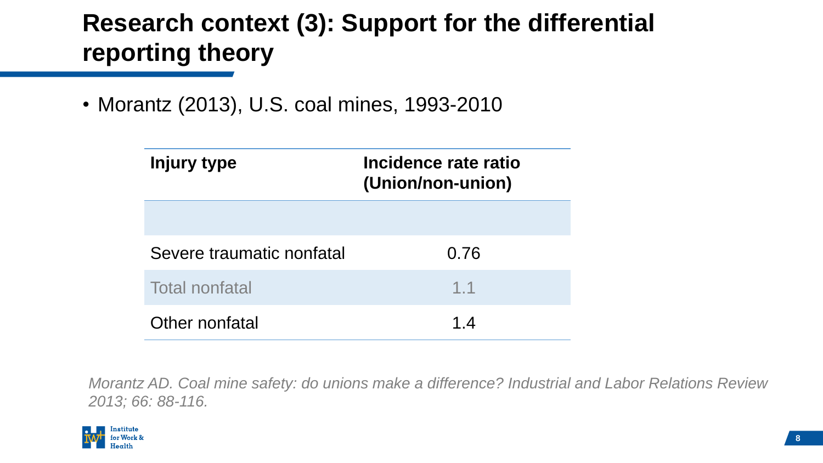### **Research context (3): Support for the differential reporting theory**

• Morantz (2013), U.S. coal mines, 1993-2010

| Injury type               | Incidence rate ratio<br>(Union/non-union) |  |  |
|---------------------------|-------------------------------------------|--|--|
|                           |                                           |  |  |
| Severe traumatic nonfatal | 0.76                                      |  |  |
| <b>Total nonfatal</b>     | 1.1                                       |  |  |
| Other nonfatal            | 1.4                                       |  |  |

*Morantz AD. Coal mine safety: do unions make a difference? Industrial and Labor Relations Review 2013; 66: 88-116.*

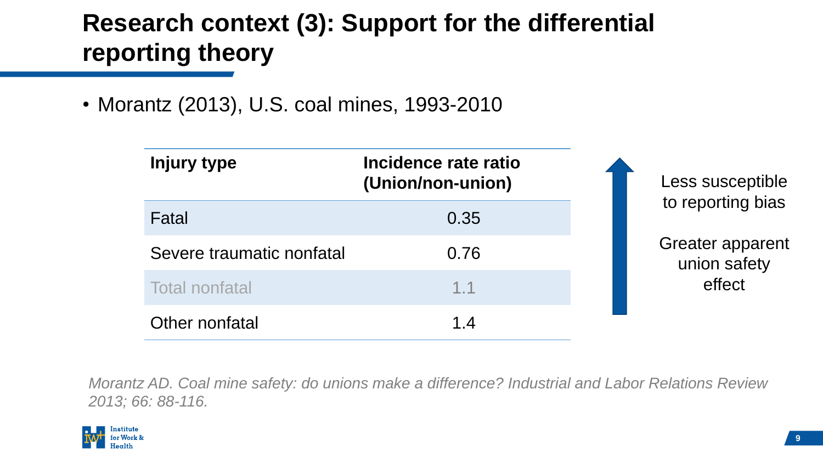### **Research context (3): Support for the differential reporting theory**

• Morantz (2013), U.S. coal mines, 1993-2010

| Injury type               | Incidence rate ratio<br>(Union/non-union) | Less susceptible                        |
|---------------------------|-------------------------------------------|-----------------------------------------|
| Fatal                     | 0.35                                      | to reporting bias                       |
| Severe traumatic nonfatal | 0.76                                      | <b>Greater apparent</b><br>union safety |
| <b>Total nonfatal</b>     | 1.1                                       | effect                                  |
| Other nonfatal            | 1.4                                       |                                         |

*Morantz AD. Coal mine safety: do unions make a difference? Industrial and Labor Relations Review 2013; 66: 88-116.*

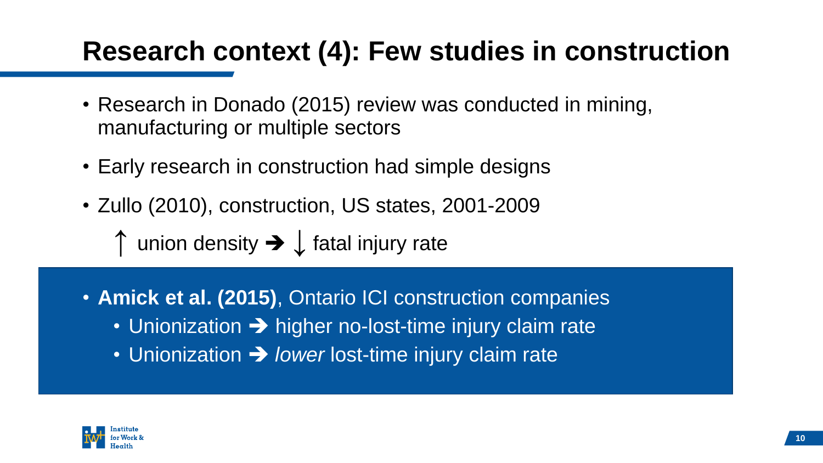### **Research context (4): Few studies in construction**

- Research in Donado (2015) review was conducted in mining, manufacturing or multiple sectors
- Early research in construction had simple designs
- Zullo (2010), construction, US states, 2001-2009

↑ union density ➔ ↓ fatal injury rate

- **Amick et al. (2015)**, Ontario ICI construction companies
	- Unionization  $\rightarrow$  higher no-lost-time injury claim rate
	- Unionization ➔ *lower* lost-time injury claim rate

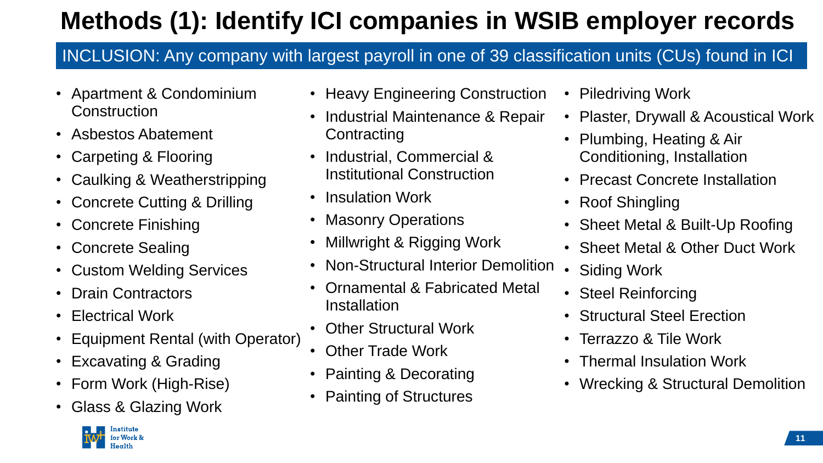## **Methods (1): Identify ICI companies in WSIB employer records**

#### INCLUSION: Any company with largest payroll in one of 39 classification units (CUs) found in ICI

- Apartment & Condominium **Construction**
- Asbestos Abatement
- Carpeting & Flooring
- Caulking & Weatherstripping
- Concrete Cutting & Drilling
- Concrete Finishing
- Concrete Sealing
- Custom Welding Services
- Drain Contractors
- Electrical Work
- Equipment Rental (with Operator)
- Excavating & Grading
- Form Work (High-Rise)
- Glass & Glazing Work
- Heavy Engineering Construction
- Industrial Maintenance & Repair **Contracting**
- Industrial, Commercial & Institutional Construction
- Insulation Work
- Masonry Operations
- Millwright & Rigging Work
- Non-Structural Interior Demolition
- Ornamental & Fabricated Metal **Installation**
- Other Structural Work
- Other Trade Work
- Painting & Decorating
- Painting of Structures
- Piledriving Work
- Plaster, Drywall & Acoustical Work
- Plumbing, Heating & Air Conditioning, Installation
- Precast Concrete Installation
- Roof Shingling
- Sheet Metal & Built-Up Roofing
- Sheet Metal & Other Duct Work
- Siding Work
- Steel Reinforcing
- Structural Steel Erection
- Terrazzo & Tile Work
- Thermal Insulation Work
- Wrecking & Structural Demolition

**11**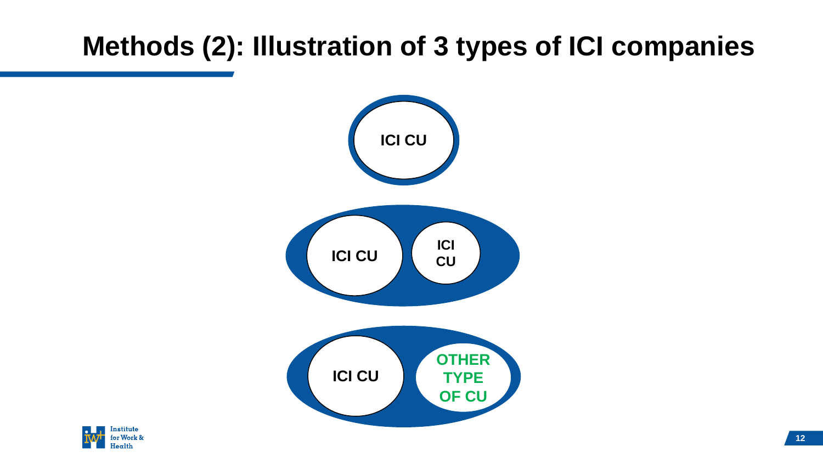### **Methods (2): Illustration of 3 types of ICI companies**



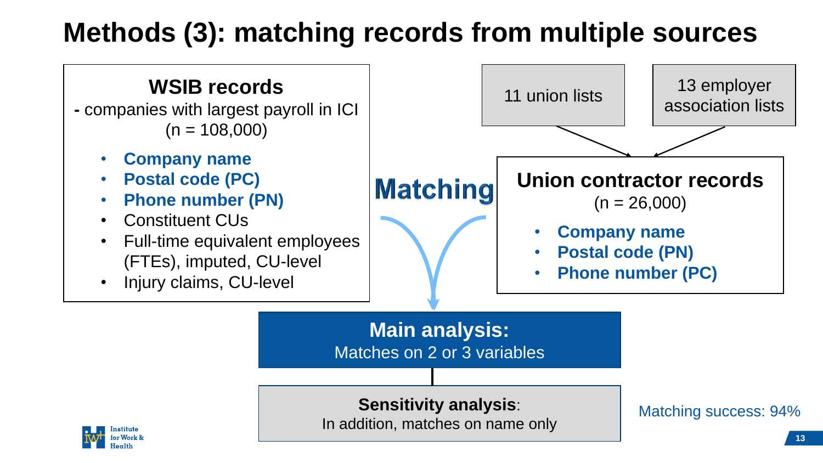### **Methods (3): matching records from multiple sources**

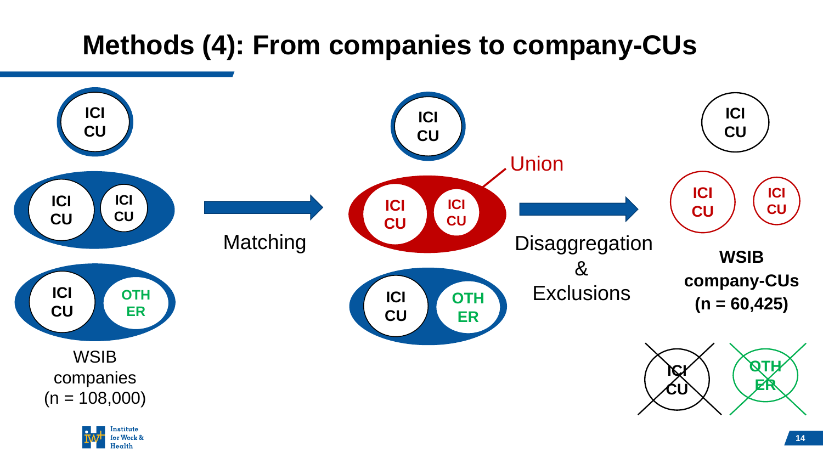### **Methods (4): From companies to company-CUs**



 $[earth$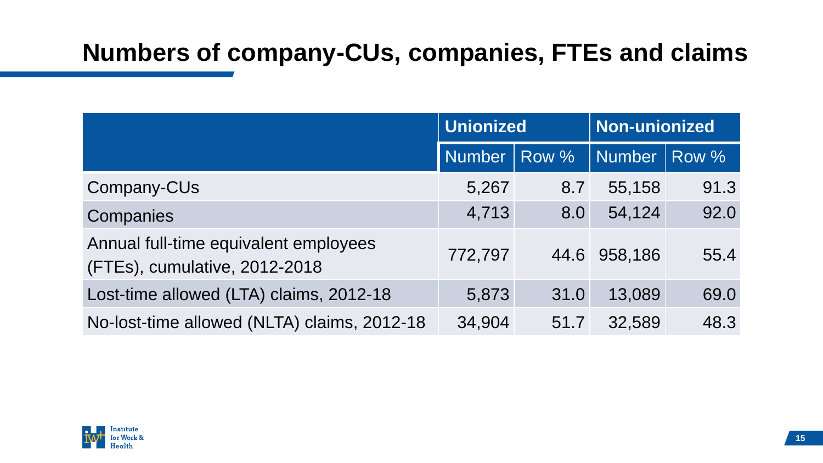#### **Numbers of company-CUs, companies, FTEs and claims**

|                                                                        | <b>Unionized</b> |       | Non-unionized |       |
|------------------------------------------------------------------------|------------------|-------|---------------|-------|
|                                                                        | <b>Number</b>    | Row % | <b>Number</b> | Row % |
| Company-CUs                                                            | 5,267            | 8.7   | 55,158        | 91.3  |
| Companies                                                              | 4,713            | 8.0   | 54,124        | 92.0  |
| Annual full-time equivalent employees<br>(FTEs), cumulative, 2012-2018 | 772,797          | 44.6  | 958,186       | 55.4  |
| Lost-time allowed (LTA) claims, 2012-18                                | 5,873            | 31.0  | 13,089        | 69.0  |
| No-lost-time allowed (NLTA) claims, 2012-18                            | 34,904           | 51.7  | 32,589        | 48.3  |

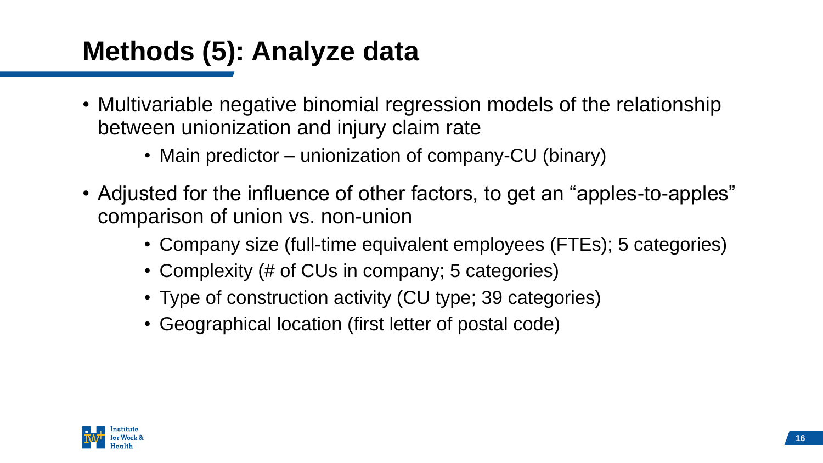### **Methods (5): Analyze data**

- Multivariable negative binomial regression models of the relationship between unionization and injury claim rate
	- Main predictor unionization of company-CU (binary)
- Adjusted for the influence of other factors, to get an "apples-to-apples" comparison of union vs. non-union
	- Company size (full-time equivalent employees (FTEs); 5 categories)
	- Complexity (# of CUs in company; 5 categories)
	- Type of construction activity (CU type; 39 categories)
	- Geographical location (first letter of postal code)

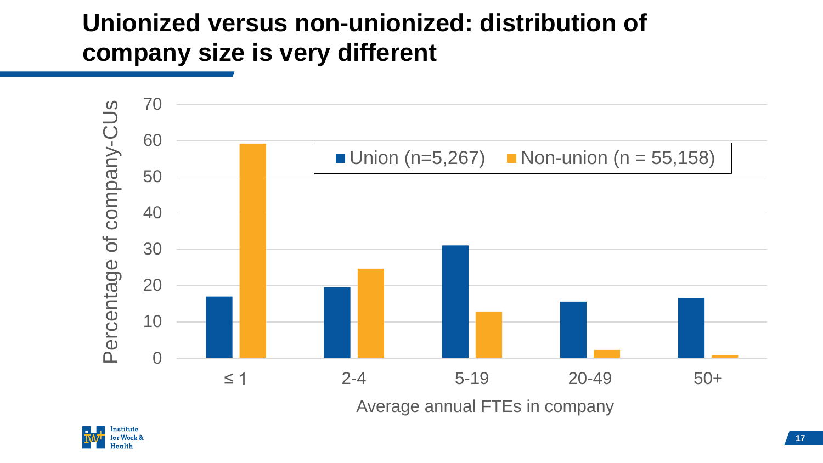#### **Unionized versus non-unionized: distribution of company size is very different**



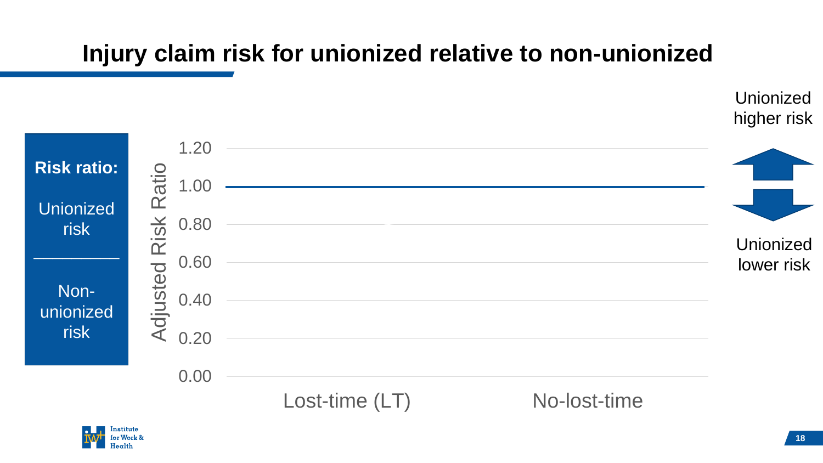#### **Injury claim risk for unionized relative to non-unionized**



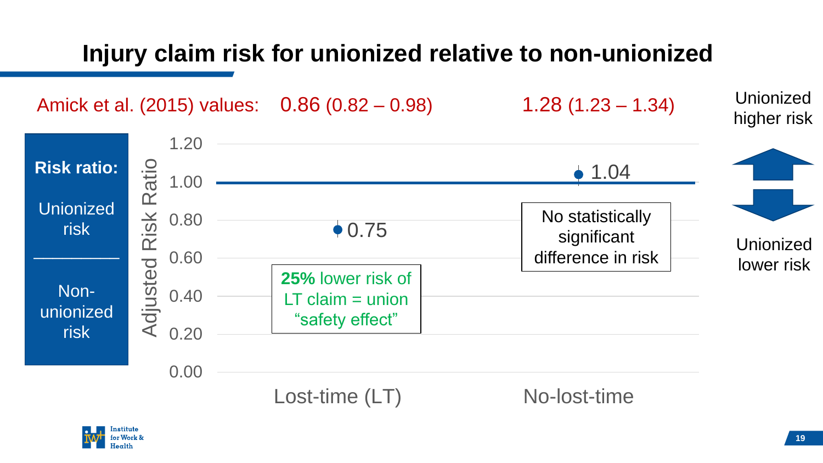#### **Injury claim risk for unionized relative to non-unionized**

Amick et al. (2015) values: 0.86 (0.82 – 0.98) 1.28 (1.23 – 1.34)



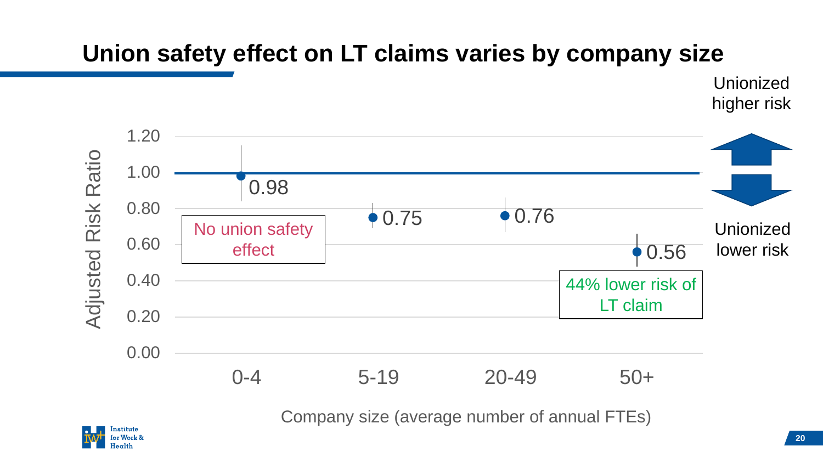#### **Union safety effect on LT claims varies by company size**

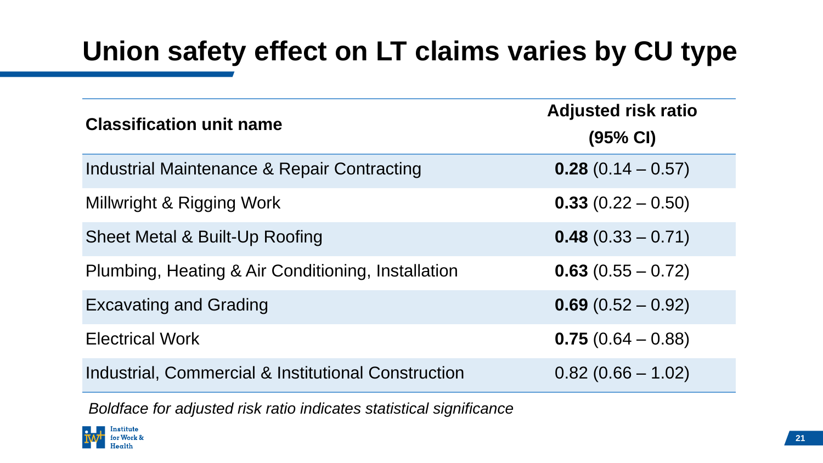### **Union safety effect on LT claims varies by CU type**

| <b>Classification unit name</b>                        | <b>Adjusted risk ratio</b><br>$(95% \text{ Cl})$ |  |  |
|--------------------------------------------------------|--------------------------------------------------|--|--|
| <b>Industrial Maintenance &amp; Repair Contracting</b> | $0.28(0.14 - 0.57)$                              |  |  |
| Millwright & Rigging Work                              | $0.33(0.22 - 0.50)$                              |  |  |
| Sheet Metal & Built-Up Roofing                         | $0.48(0.33 - 0.71)$                              |  |  |
| Plumbing, Heating & Air Conditioning, Installation     | $0.63(0.55 - 0.72)$                              |  |  |
| <b>Excavating and Grading</b>                          | $0.69(0.52 - 0.92)$                              |  |  |
| <b>Electrical Work</b>                                 | $0.75(0.64 - 0.88)$                              |  |  |
| Industrial, Commercial & Institutional Construction    | $0.82(0.66 - 1.02)$                              |  |  |

*Boldface for adjusted risk ratio indicates statistical significance*

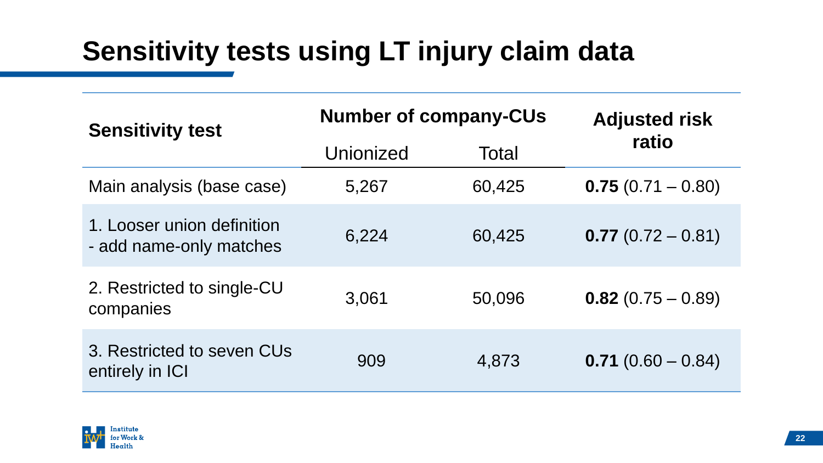### **Sensitivity tests using LT injury claim data**

| <b>Sensitivity test</b>                               | <b>Number of company-CUs</b> |        | <b>Adjusted risk</b> |  |
|-------------------------------------------------------|------------------------------|--------|----------------------|--|
|                                                       | Unionized                    | Total  | ratio                |  |
| Main analysis (base case)                             | 5,267                        | 60,425 | $0.75(0.71 - 0.80)$  |  |
| 1. Looser union definition<br>- add name-only matches | 6,224                        | 60,425 | $0.77(0.72 - 0.81)$  |  |
| 2. Restricted to single-CU<br>companies               | 3,061                        | 50,096 | $0.82(0.75 - 0.89)$  |  |
| 3. Restricted to seven CUs<br>entirely in ICI         | 909                          | 4,873  | $0.71(0.60 - 0.84)$  |  |

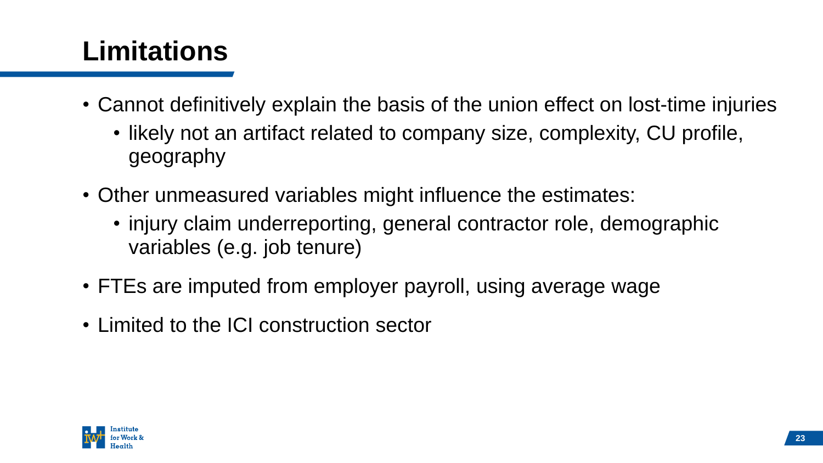## **Limitations**

- Cannot definitively explain the basis of the union effect on lost-time injuries
	- likely not an artifact related to company size, complexity, CU profile, geography
- Other unmeasured variables might influence the estimates:
	- injury claim underreporting, general contractor role, demographic variables (e.g. job tenure)
- FTEs are imputed from employer payroll, using average wage
- Limited to the ICI construction sector

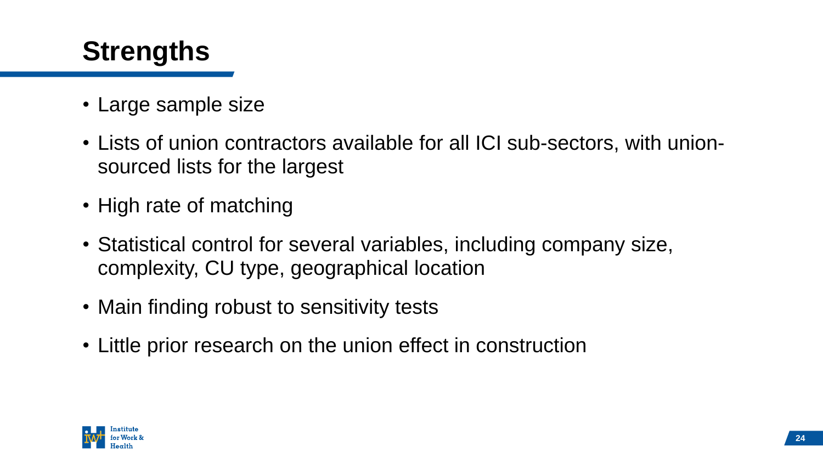### **Strengths**

- Large sample size
- Lists of union contractors available for all ICI sub-sectors, with unionsourced lists for the largest
- High rate of matching
- Statistical control for several variables, including company size, complexity, CU type, geographical location
- Main finding robust to sensitivity tests
- Little prior research on the union effect in construction

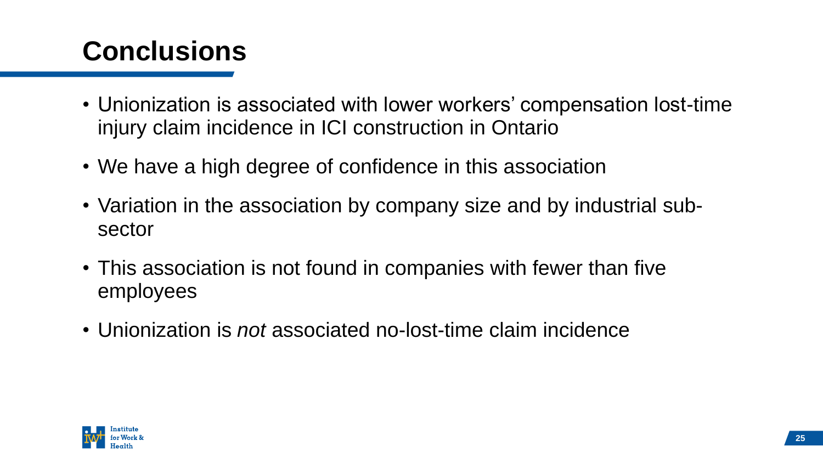## **Conclusions**

- Unionization is associated with lower workers' compensation lost-time injury claim incidence in ICI construction in Ontario
- We have a high degree of confidence in this association
- Variation in the association by company size and by industrial subsector
- This association is not found in companies with fewer than five employees
- Unionization is *not* associated no-lost-time claim incidence

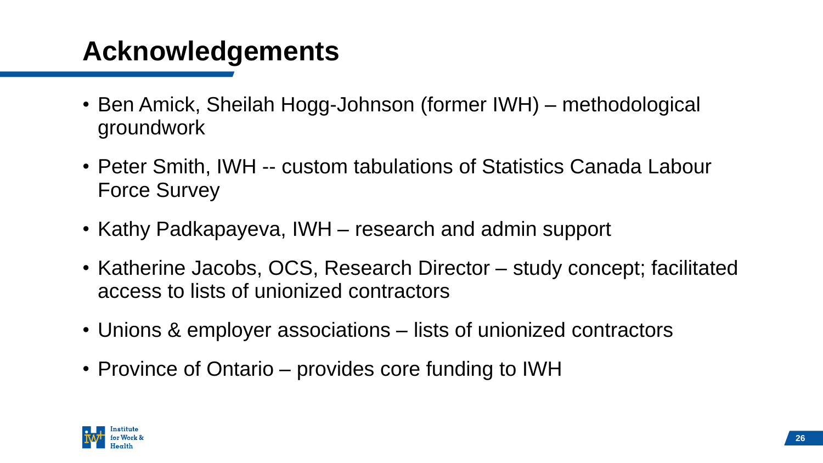### **Acknowledgements**

- Ben Amick, Sheilah Hogg-Johnson (former IWH) methodological groundwork
- Peter Smith, IWH -- custom tabulations of Statistics Canada Labour Force Survey
- Kathy Padkapayeva, IWH research and admin support
- Katherine Jacobs, OCS, Research Director study concept; facilitated access to lists of unionized contractors
- Unions & employer associations lists of unionized contractors
- Province of Ontario provides core funding to IWH

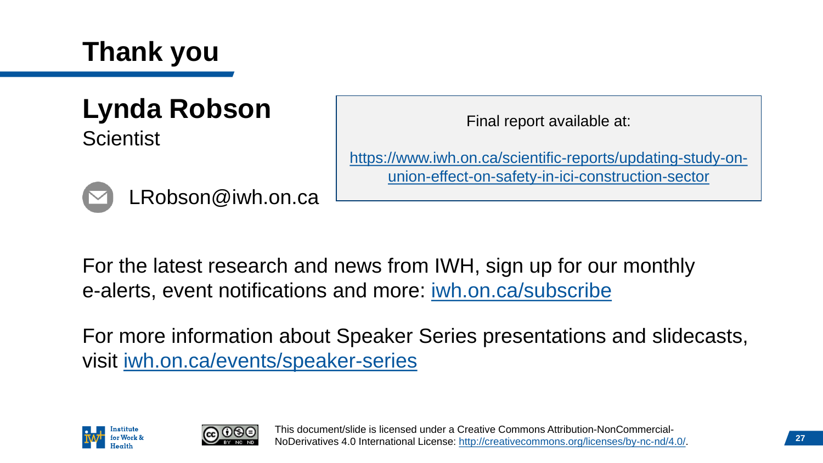

#### **Lynda Robson Scientist**

[https://www.iwh.on.ca/scientific-reports/updating-study-on](https://www.iwh.on.ca/scientific-reports/updating-study-on-union-effect-on-safety-in-ici-construction-sector)union-effect-on-safety-in-ici-construction-sector

Final report available at:

For the latest research and news from IWH, sign up for our monthly e-alerts, event notifications and more: [iwh.on.ca/subscribe](http://www.iwh.on.ca/subscribe)

For more information about Speaker Series presentations and slidecasts, visit [iwh.on.ca/events/speaker-series](https://www.iwh.on.ca/events/speaker-series) 





LRobson@iwh.on.ca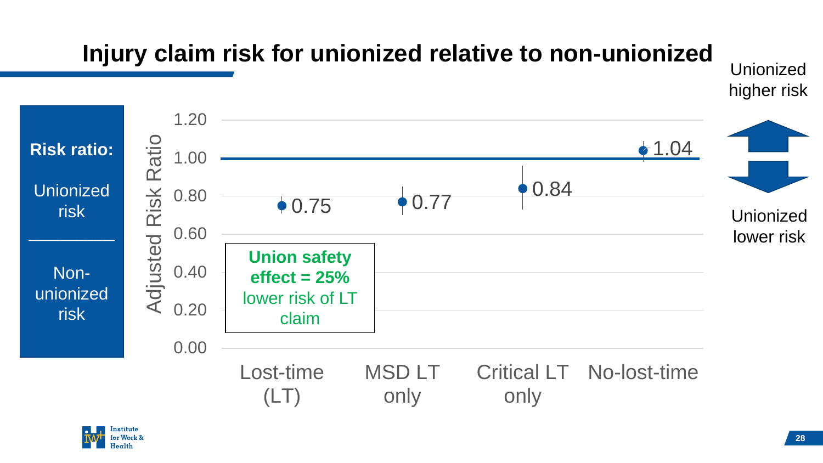### **Injury claim risk for unionized relative to non-unionized**



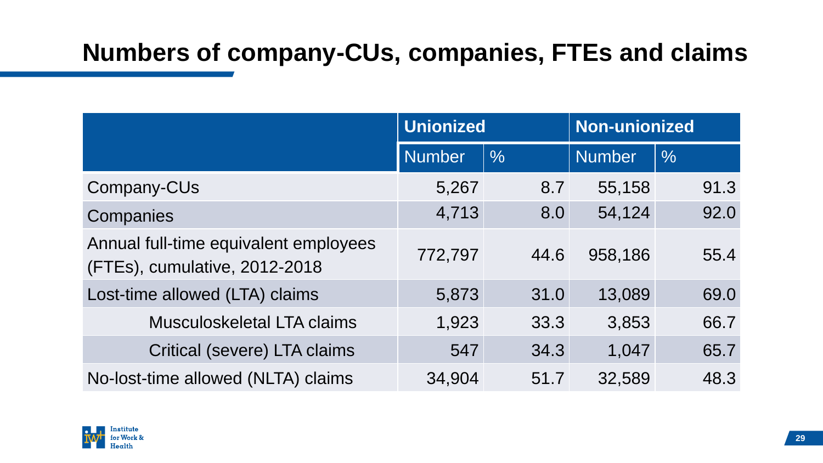#### **Numbers of company-CUs, companies, FTEs and claims**

|                                                                        | <b>Unionized</b> |               | <b>Non-unionized</b> |               |
|------------------------------------------------------------------------|------------------|---------------|----------------------|---------------|
|                                                                        | <b>Number</b>    | $\frac{0}{0}$ | <b>Number</b>        | $\frac{0}{0}$ |
| Company-CUs                                                            | 5,267            | 8.7           | 55,158               | 91.3          |
| Companies                                                              | 4,713            | 8.0           | 54,124               | 92.0          |
| Annual full-time equivalent employees<br>(FTEs), cumulative, 2012-2018 | 772,797          | 44.6          | 958,186              | 55.4          |
| Lost-time allowed (LTA) claims                                         | 5,873            | 31.0          | 13,089               | 69.0          |
| <b>Musculoskeletal LTA claims</b>                                      | 1,923            | 33.3          | 3,853                | 66.7          |
| <b>Critical (severe) LTA claims</b>                                    | 547              | 34.3          | 1,047                | 65.7          |
| No-lost-time allowed (NLTA) claims                                     | 34,904           | 51.7          | 32,589               | 48.3          |